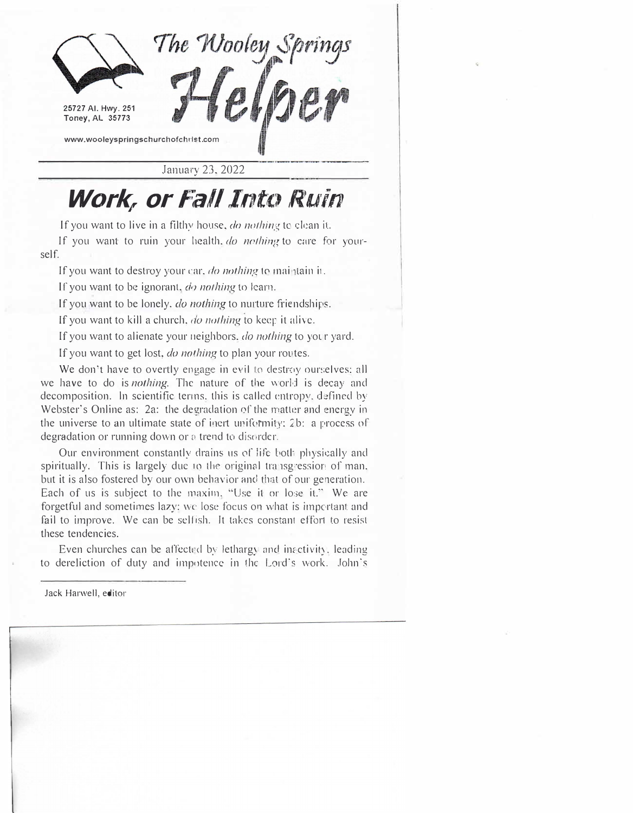

January 23, 2022

## Work, or Fall Into Ruin

If you want to live in a filthy house, *do nothing* to clean it.

If you want to ruin your health. *do nothing* to care for yourself.

If you want to destroy your car, *do nothing* to maintain it.

If you want to be ignorant, *do nothing* to learn.

If you want to be lonely. *do nothing* to nurture friendships.

If you want to kill a church, *do nothing* to keep it alive.

If you want to alienate your neighbors. *do nothing* to yocr yard.

If you want to get lost, *do nothing* to plan your routes.

We don't have to overtly engage in evil to destroy ourselves: all we have to do is *nothing.* The nature of the world is decay and decomposition. ln scientific terms. this is called entropy. d�fined by Webster's Online as: 2a: the degradation of the matter and energy in the universe to an ultimate state of inert uniformity;  $2b$ : a process of degradation or running down or a trend to disorder.

Our environment constantly drains us of life both physically and spiritually. This is largely due to the original transgression of man. but it is also fostered by our own behavior and that of our generation. Each of us is subject to the maxim, "Use it or lose it." We are forgetful and sometimes lazy: we lose focus on what is important and fail to improve. We can be selfish. Jt takes constant effort to resist these tendencies.

Even churches can be affected by lethargy and inactivity, leading to dereliction of duty and impotence in the Lord's work. John·s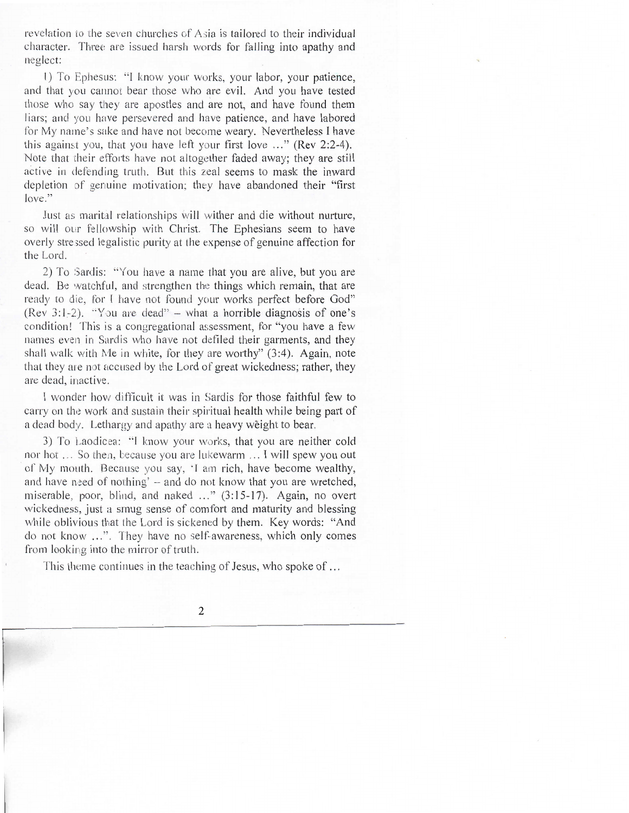revelation to the seven churches of Asia is tailored to their individual character. Three are issued harsh words for falling into apathy and neglect:

1) To Ephesus: "I know your works, your labor, your patience, and that you cannot bear those who are evil. And you have tested those who say they are apostles and are not, and have found them liars; and you have persevered and have patience, and have labored for My name's sake and have not become weary. Nevertheless I have this against you, that you have left your first love ..." (Rev 2:2-4). Note that their efforts have not altogether faded away; they are still active in defending truth. But this zeal seems to mask the inward depletion of genuine motivation; they have abandoned their "first  $love.$ "

Just as marital relationships will wither and die without nurture, so will our fellowship with Christ. The Ephesians seem to have overly stressed legalistic purity at the expense of genuine affection for the Lord.

2) To Sardis: "You have a name that you are alive, but you are dead. Be watchful, and strengthen the things which remain, that are ready to die, for I have not found your works perfect before God" (Rev 3:1-2). "You are dead" – what a horrible diagnosis of one's condition! This is a congregational assessment, for "you have a few names even in Sardis who have not defiled their garments, and they shall walk with Me in white, for they are worthy" (3:4). Again, note that they are not accused by the Lord of great wickedness; rather, they are dead, inactive.

I wonder how difficult it was in Sardis for those faithful few to carry on the work and sustain their spiritual health while being part of a dead body. Lethargy and apathy are a heavy weight to bear.

3) To Laodicea: "I know your works, that you are neither cold nor hot ... So then, because you are lukewarm ... I will spew you out of My mouth. Because you say, 'I am rich, have become wealthy, and have need of nothing' - and do not know that you are wretched, miserable, poor, blind, and naked ..." (3:15-17). Again, no overt wickedness, just a smug sense of comfort and maturity and blessing while oblivious that the Lord is sickened by them. Key words: "And do not know ...". They have no self-awareness, which only comes from looking into the mirror of truth.

This theme continues in the teaching of Jesus, who spoke of ...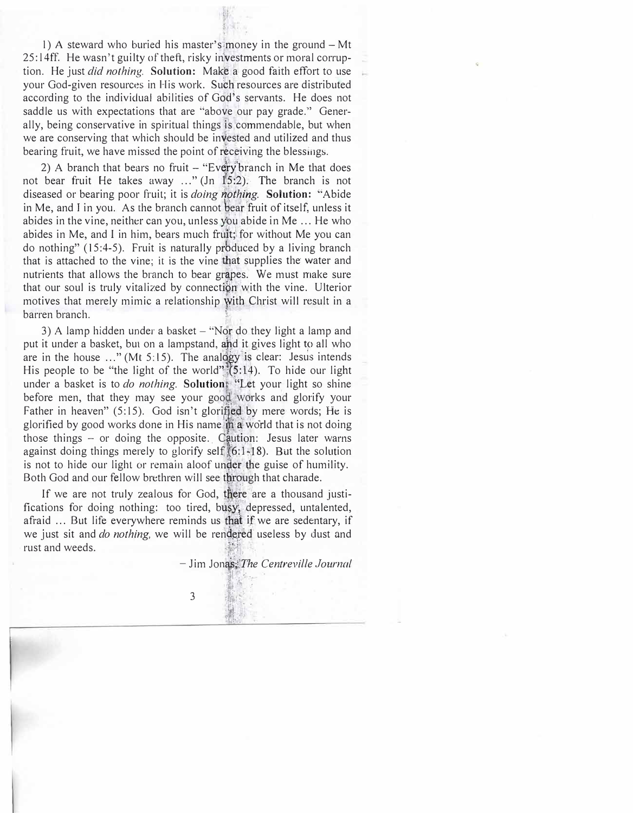1) A steward who buried his master's money in the ground – Mt 25:14ff. He wasn't guilty of theft, risky investments or moral corruption. He just *did nothing.* **Solution:** Make a good faith effort to use your God-given resources in His work. Such resources are distributed according to the individual abilities of God's servants. He does not saddle us with expectations that are "above our pay grade." Generally, being conservative in spiritual things is commendable, but when we are conserving that which should be invested and utilized and thus bearing fruit, we have missed the point of receiving the blessings.

2) A branch that bears no fruit  $-$  "Every branch in Me that does not bear fruit He takes away ..." (Jn  $15:2$ ). The branch is not diseased or bearing poor fruit; it is *doing nothing*. Solution: "Abide in Me, and I in you. As the branch cannot bear fruit of itself, unless it  $\sum_{n=1}^{\infty}$ abides in the vine, neither can you, unless you abide in Me ... He who abides in Me, and I in him, bears much fruit; for without Me you can do nothing"  $(15:4-5)$ . Fruit is naturally produced by a living branch that is attached to the vine; it is the vine that supplies the water and nutrients that allows the branch to bear grapes. We must make sure that our soul is truly vitalized by connection with the vine. Ulterior motives that merely mimic a relationship with Christ will result in a barren branch. ,.

3) A lamp hidden under a basket – "Nor do they light a lamp and put it under a basket, but on a lampstand, and it gives light to all who are in the house  $\ldots$ " (Mt 5:15). The analogy is clear: Jesus intends His people to be "the light of the world" $(5:14)$ . To hide our light under a basket is to *do nothing*. Solution: "Let your light so shine before men, that they may see your good works and glorify your Father in heaven" (5:15). God isn't glorified by mere words; He is  $\frac{1}{2}$ glorified by good works done in His name; in a world that is not doing those things  $-$  or doing the opposite. Caution: Jesus later warns a<br>. gainst doing things merely to glorify self  $(6:1-18)$ . But the solution .<br>.<br>. |<br>|<br>| is not to hide our light or remain aloof under the guise of humility. Both God and our fellow brethren will see through that charade.

If we are not truly zealous for God, there are a thousand justifications for doing nothing: too tired, busy; depressed, untalented, afraid ... But life everywhere reminds us that if we are sedentary, if we just sit and *do nothing*, we will be rendered useless by dust and rust and weeds. 1, 1921

 $-$  Jim Jonas: *The Centreville Journal* 

3